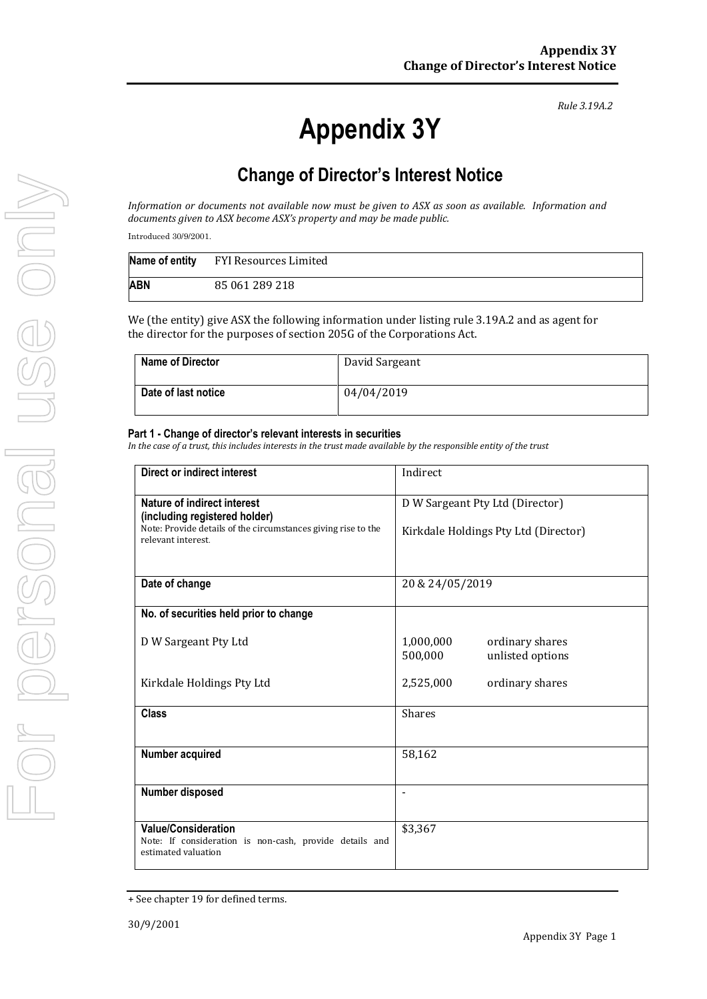*Rule 3.19A.2*

## **Change of Director's Interest Notice**

*Information or documents not available now must be given to ASX as soon as available. Information and documents given to ASX become ASX's property and may be made public.*

Introduced 30/9/2001.

|     | Name of entity FYI Resources Limited |
|-----|--------------------------------------|
| ABN | 85 061 289 218                       |

We (the entity) give ASX the following information under listing rule 3.19A.2 and as agent for the director for the purposes of section 205G of the Corporations Act.

| <b>Name of Director</b> | David Sargeant |
|-------------------------|----------------|
| Date of last notice     | 04/04/2019     |

## **Part 1 - Change of director's relevant interests in securities**

*In the case of a trust, this includes interests in the trust made available by the responsible entity of the trust*

| Direct or indirect interest                                                                                  | Indirect                                                    |  |
|--------------------------------------------------------------------------------------------------------------|-------------------------------------------------------------|--|
| Nature of indirect interest<br>(including registered holder)                                                 | D W Sargeant Pty Ltd (Director)                             |  |
| Note: Provide details of the circumstances giving rise to the<br>relevant interest                           | Kirkdale Holdings Pty Ltd (Director)                        |  |
| Date of change                                                                                               | 20 & 24/05/2019                                             |  |
| No. of securities held prior to change                                                                       |                                                             |  |
| D W Sargeant Pty Ltd                                                                                         | 1,000,000<br>ordinary shares<br>unlisted options<br>500,000 |  |
| Kirkdale Holdings Pty Ltd                                                                                    | 2,525,000<br>ordinary shares                                |  |
| <b>Class</b>                                                                                                 | <b>Shares</b>                                               |  |
| Number acquired                                                                                              | 58,162                                                      |  |
| Number disposed                                                                                              |                                                             |  |
| <b>Value/Consideration</b><br>Note: If consideration is non-cash, provide details and<br>estimated valuation | \$3,367                                                     |  |

<sup>+</sup> See chapter 19 for defined terms.

**Appendix 3Y**